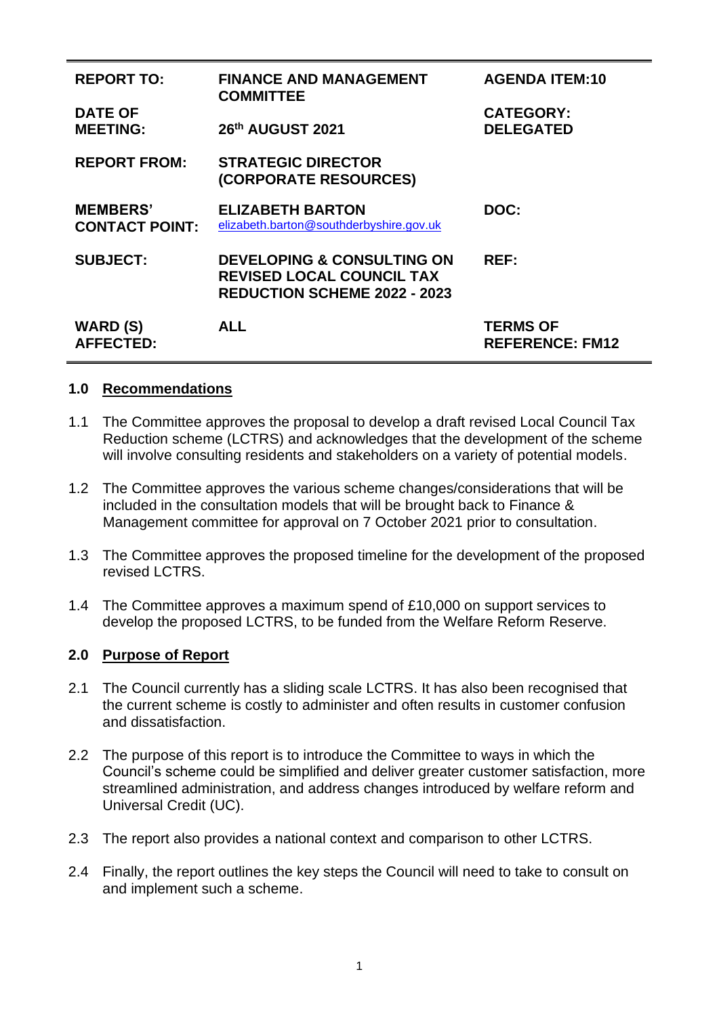| <b>REPORT TO:</b><br><b>DATE OF</b>      | <b>FINANCE AND MANAGEMENT</b><br><b>COMMITTEE</b>                                                                | <b>AGENDA ITEM:10</b><br><b>CATEGORY:</b> |
|------------------------------------------|------------------------------------------------------------------------------------------------------------------|-------------------------------------------|
| <b>MEETING:</b>                          | 26th AUGUST 2021                                                                                                 | <b>DELEGATED</b>                          |
| <b>REPORT FROM:</b>                      | <b>STRATEGIC DIRECTOR</b><br>(CORPORATE RESOURCES)                                                               |                                           |
| <b>MEMBERS'</b><br><b>CONTACT POINT:</b> | <b>ELIZABETH BARTON</b><br>elizabeth.barton@southderbyshire.gov.uk                                               | DOC:                                      |
| <b>SUBJECT:</b>                          | <b>DEVELOPING &amp; CONSULTING ON</b><br><b>REVISED LOCAL COUNCIL TAX</b><br><b>REDUCTION SCHEME 2022 - 2023</b> | <b>REF:</b>                               |
| <b>WARD (S)</b><br><b>AFFECTED:</b>      | <b>ALL</b>                                                                                                       | <b>TERMS OF</b><br><b>REFERENCE: FM12</b> |

#### **1.0 Recommendations**

- 1.1 The Committee approves the proposal to develop a draft revised Local Council Tax Reduction scheme (LCTRS) and acknowledges that the development of the scheme will involve consulting residents and stakeholders on a variety of potential models.
- 1.2 The Committee approves the various scheme changes/considerations that will be included in the consultation models that will be brought back to Finance & Management committee for approval on 7 October 2021 prior to consultation.
- 1.3 The Committee approves the proposed timeline for the development of the proposed revised LCTRS.
- 1.4 The Committee approves a maximum spend of £10,000 on support services to develop the proposed LCTRS, to be funded from the Welfare Reform Reserve.

#### **2.0 Purpose of Report**

- 2.1 The Council currently has a sliding scale LCTRS. It has also been recognised that the current scheme is costly to administer and often results in customer confusion and dissatisfaction.
- 2.2 The purpose of this report is to introduce the Committee to ways in which the Council's scheme could be simplified and deliver greater customer satisfaction, more streamlined administration, and address changes introduced by welfare reform and Universal Credit (UC).
- 2.3 The report also provides a national context and comparison to other LCTRS.
- 2.4 Finally, the report outlines the key steps the Council will need to take to consult on and implement such a scheme.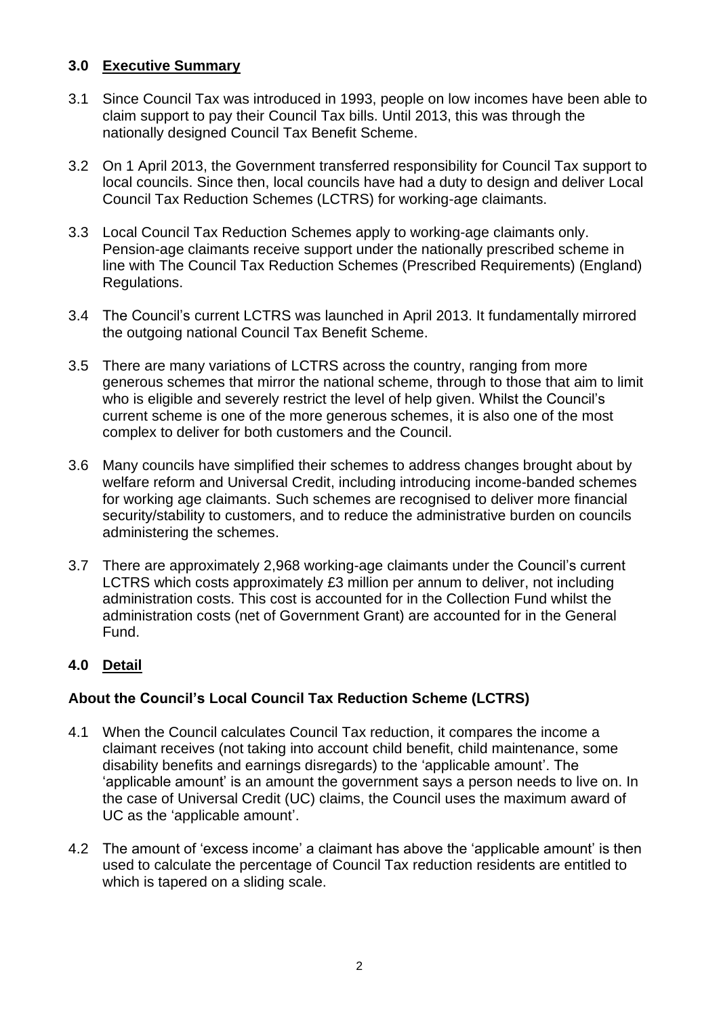## **3.0 Executive Summary**

- 3.1 Since Council Tax was introduced in 1993, people on low incomes have been able to claim support to pay their Council Tax bills. Until 2013, this was through the nationally designed Council Tax Benefit Scheme.
- 3.2 On 1 April 2013, the Government transferred responsibility for Council Tax support to local councils. Since then, local councils have had a duty to design and deliver Local Council Tax Reduction Schemes (LCTRS) for working-age claimants.
- 3.3 Local Council Tax Reduction Schemes apply to working-age claimants only. Pension-age claimants receive support under the nationally prescribed scheme in line with The Council Tax Reduction Schemes (Prescribed Requirements) (England) Regulations.
- 3.4 The Council's current LCTRS was launched in April 2013. It fundamentally mirrored the outgoing national Council Tax Benefit Scheme.
- 3.5 There are many variations of LCTRS across the country, ranging from more generous schemes that mirror the national scheme, through to those that aim to limit who is eligible and severely restrict the level of help given. Whilst the Council's current scheme is one of the more generous schemes, it is also one of the most complex to deliver for both customers and the Council.
- 3.6 Many councils have simplified their schemes to address changes brought about by welfare reform and Universal Credit, including introducing income-banded schemes for working age claimants. Such schemes are recognised to deliver more financial security/stability to customers, and to reduce the administrative burden on councils administering the schemes.
- 3.7 There are approximately 2,968 working-age claimants under the Council's current LCTRS which costs approximately £3 million per annum to deliver, not including administration costs. This cost is accounted for in the Collection Fund whilst the administration costs (net of Government Grant) are accounted for in the General Fund.

# **4.0 Detail**

# **About the Council's Local Council Tax Reduction Scheme (LCTRS)**

- 4.1 When the Council calculates Council Tax reduction, it compares the income a claimant receives (not taking into account child benefit, child maintenance, some disability benefits and earnings disregards) to the 'applicable amount'. The 'applicable amount' is an amount the government says a person needs to live on. In the case of Universal Credit (UC) claims, the Council uses the maximum award of UC as the 'applicable amount'.
- 4.2 The amount of 'excess income' a claimant has above the 'applicable amount' is then used to calculate the percentage of Council Tax reduction residents are entitled to which is tapered on a sliding scale.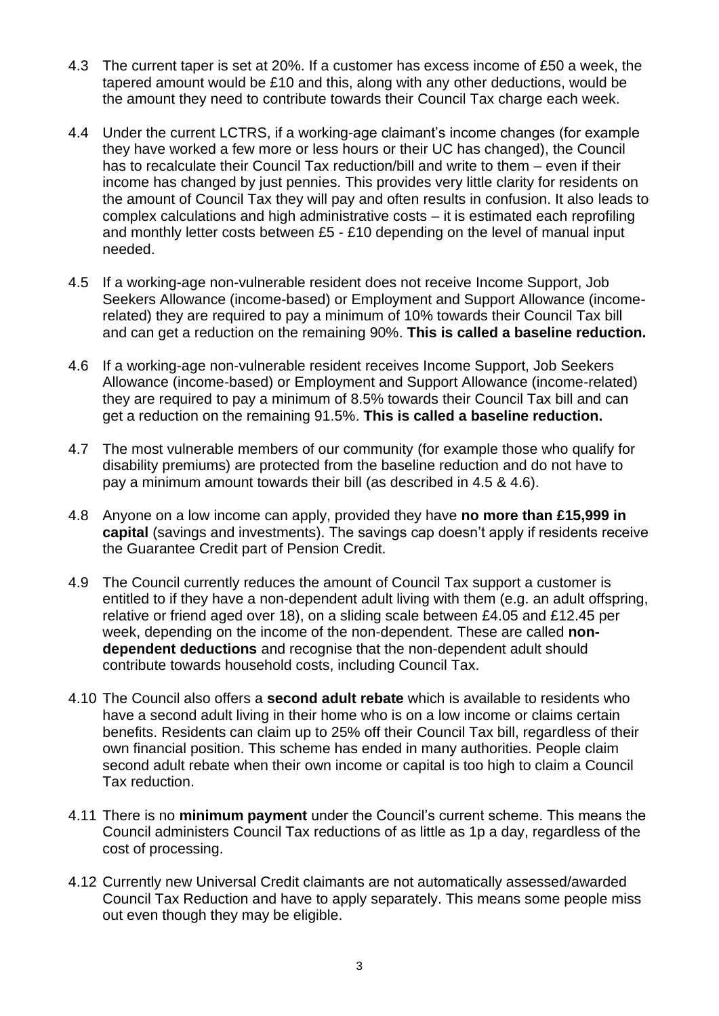- 4.3 The current taper is set at 20%. If a customer has excess income of £50 a week, the tapered amount would be £10 and this, along with any other deductions, would be the amount they need to contribute towards their Council Tax charge each week.
- 4.4 Under the current LCTRS, if a working-age claimant's income changes (for example they have worked a few more or less hours or their UC has changed), the Council has to recalculate their Council Tax reduction/bill and write to them – even if their income has changed by just pennies. This provides very little clarity for residents on the amount of Council Tax they will pay and often results in confusion. It also leads to complex calculations and high administrative costs – it is estimated each reprofiling and monthly letter costs between £5 - £10 depending on the level of manual input needed.
- 4.5 If a working-age non-vulnerable resident does not receive Income Support, Job Seekers Allowance (income-based) or Employment and Support Allowance (incomerelated) they are required to pay a minimum of 10% towards their Council Tax bill and can get a reduction on the remaining 90%. **This is called a baseline reduction.**
- 4.6 If a working-age non-vulnerable resident receives Income Support, Job Seekers Allowance (income-based) or Employment and Support Allowance (income-related) they are required to pay a minimum of 8.5% towards their Council Tax bill and can get a reduction on the remaining 91.5%. **This is called a baseline reduction.**
- 4.7 The most vulnerable members of our community (for example those who qualify for disability premiums) are protected from the baseline reduction and do not have to pay a minimum amount towards their bill (as described in 4.5 & 4.6).
- 4.8 Anyone on a low income can apply, provided they have **no more than £15,999 in capital** (savings and investments). The savings cap doesn't apply if residents receive the Guarantee Credit part of Pension Credit.
- 4.9 The Council currently reduces the amount of Council Tax support a customer is entitled to if they have a non-dependent adult living with them (e.g. an adult offspring, relative or friend aged over 18), on a sliding scale between £4.05 and £12.45 per week, depending on the income of the non-dependent. These are called **nondependent deductions** and recognise that the non-dependent adult should contribute towards household costs, including Council Tax.
- 4.10 The Council also offers a **second adult rebate** which is available to residents who have a second adult living in their home who is on a low income or claims certain benefits. Residents can claim up to 25% off their Council Tax bill, regardless of their own financial position. This scheme has ended in many authorities. People claim second adult rebate when their own income or capital is too high to claim a Council Tax reduction.
- 4.11 There is no **minimum payment** under the Council's current scheme. This means the Council administers Council Tax reductions of as little as 1p a day, regardless of the cost of processing.
- 4.12 Currently new Universal Credit claimants are not automatically assessed/awarded Council Tax Reduction and have to apply separately. This means some people miss out even though they may be eligible.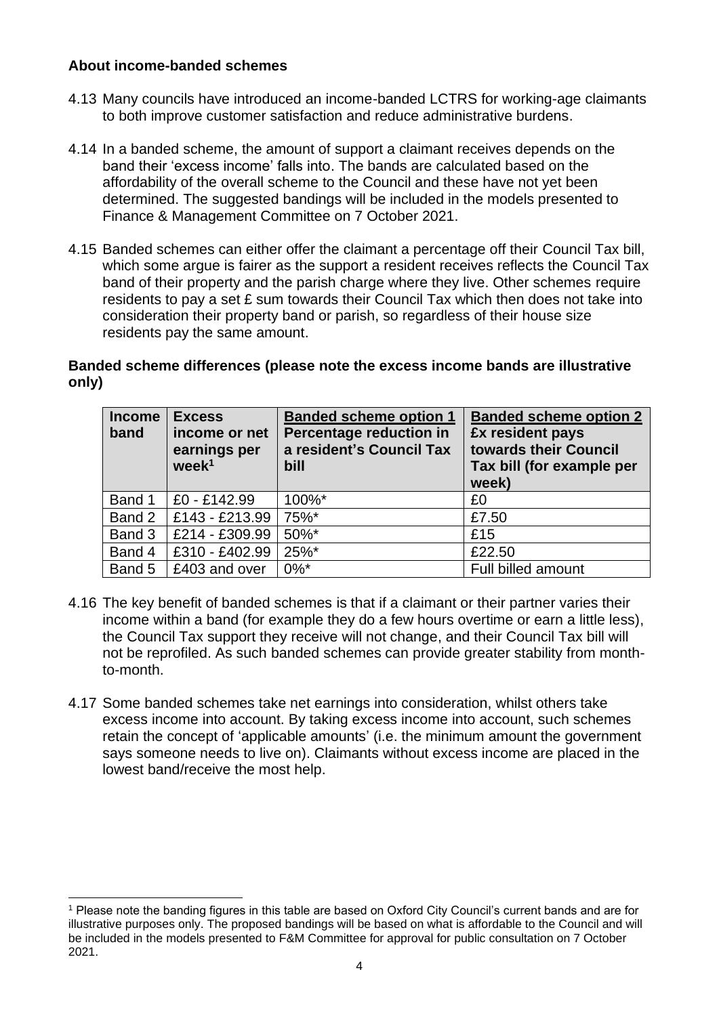## **About income-banded schemes**

- 4.13 Many councils have introduced an income-banded LCTRS for working-age claimants to both improve customer satisfaction and reduce administrative burdens.
- 4.14 In a banded scheme, the amount of support a claimant receives depends on the band their 'excess income' falls into. The bands are calculated based on the affordability of the overall scheme to the Council and these have not yet been determined. The suggested bandings will be included in the models presented to Finance & Management Committee on 7 October 2021.
- 4.15 Banded schemes can either offer the claimant a percentage off their Council Tax bill, which some argue is fairer as the support a resident receives reflects the Council Tax band of their property and the parish charge where they live. Other schemes require residents to pay a set £ sum towards their Council Tax which then does not take into consideration their property band or parish, so regardless of their house size residents pay the same amount.

## **Banded scheme differences (please note the excess income bands are illustrative only)**

| <b>Income</b><br>band | <b>Excess</b><br>income or net<br>earnings per<br>week <sup>1</sup> | <b>Banded scheme option 1</b><br>Percentage reduction in<br>a resident's Council Tax<br>bill | <b>Banded scheme option 2</b><br>£x resident pays<br>towards their Council<br>Tax bill (for example per<br>week) |
|-----------------------|---------------------------------------------------------------------|----------------------------------------------------------------------------------------------|------------------------------------------------------------------------------------------------------------------|
| Band 1                | £0 - £142.99                                                        | 100%*                                                                                        | £0                                                                                                               |
| Band 2                | £143 - £213.99                                                      | 75%*                                                                                         | £7.50                                                                                                            |
| Band 3                | £214 - £309.99                                                      | 50%*                                                                                         | £15                                                                                                              |
| Band 4                | £310 - £402.99                                                      | 25%*                                                                                         | £22.50                                                                                                           |
| Band 5                | £403 and over                                                       | $0\%$ *                                                                                      | Full billed amount                                                                                               |

- 4.16 The key benefit of banded schemes is that if a claimant or their partner varies their income within a band (for example they do a few hours overtime or earn a little less), the Council Tax support they receive will not change, and their Council Tax bill will not be reprofiled. As such banded schemes can provide greater stability from monthto-month.
- 4.17 Some banded schemes take net earnings into consideration, whilst others take excess income into account. By taking excess income into account, such schemes retain the concept of 'applicable amounts' (i.e. the minimum amount the government says someone needs to live on). Claimants without excess income are placed in the lowest band/receive the most help.

<sup>1</sup> Please note the banding figures in this table are based on Oxford City Council's current bands and are for illustrative purposes only. The proposed bandings will be based on what is affordable to the Council and will be included in the models presented to F&M Committee for approval for public consultation on 7 October 2021.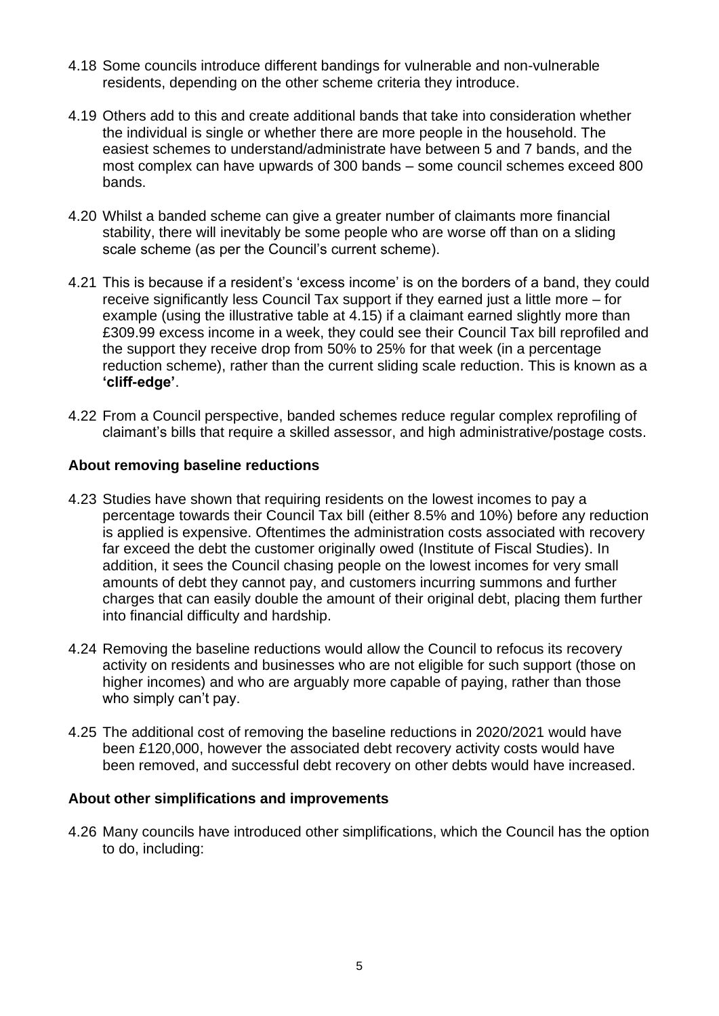- 4.18 Some councils introduce different bandings for vulnerable and non-vulnerable residents, depending on the other scheme criteria they introduce.
- 4.19 Others add to this and create additional bands that take into consideration whether the individual is single or whether there are more people in the household. The easiest schemes to understand/administrate have between 5 and 7 bands, and the most complex can have upwards of 300 bands – some council schemes exceed 800 bands.
- 4.20 Whilst a banded scheme can give a greater number of claimants more financial stability, there will inevitably be some people who are worse off than on a sliding scale scheme (as per the Council's current scheme).
- 4.21 This is because if a resident's 'excess income' is on the borders of a band, they could receive significantly less Council Tax support if they earned just a little more – for example (using the illustrative table at 4.15) if a claimant earned slightly more than £309.99 excess income in a week, they could see their Council Tax bill reprofiled and the support they receive drop from 50% to 25% for that week (in a percentage reduction scheme), rather than the current sliding scale reduction. This is known as a **'cliff-edge'**.
- 4.22 From a Council perspective, banded schemes reduce regular complex reprofiling of claimant's bills that require a skilled assessor, and high administrative/postage costs.

## **About removing baseline reductions**

- 4.23 Studies have shown that requiring residents on the lowest incomes to pay a percentage towards their Council Tax bill (either 8.5% and 10%) before any reduction is applied is expensive. Oftentimes the administration costs associated with recovery far exceed the debt the customer originally owed (Institute of Fiscal Studies). In addition, it sees the Council chasing people on the lowest incomes for very small amounts of debt they cannot pay, and customers incurring summons and further charges that can easily double the amount of their original debt, placing them further into financial difficulty and hardship.
- 4.24 Removing the baseline reductions would allow the Council to refocus its recovery activity on residents and businesses who are not eligible for such support (those on higher incomes) and who are arguably more capable of paying, rather than those who simply can't pay.
- 4.25 The additional cost of removing the baseline reductions in 2020/2021 would have been £120,000, however the associated debt recovery activity costs would have been removed, and successful debt recovery on other debts would have increased.

#### **About other simplifications and improvements**

4.26 Many councils have introduced other simplifications, which the Council has the option to do, including: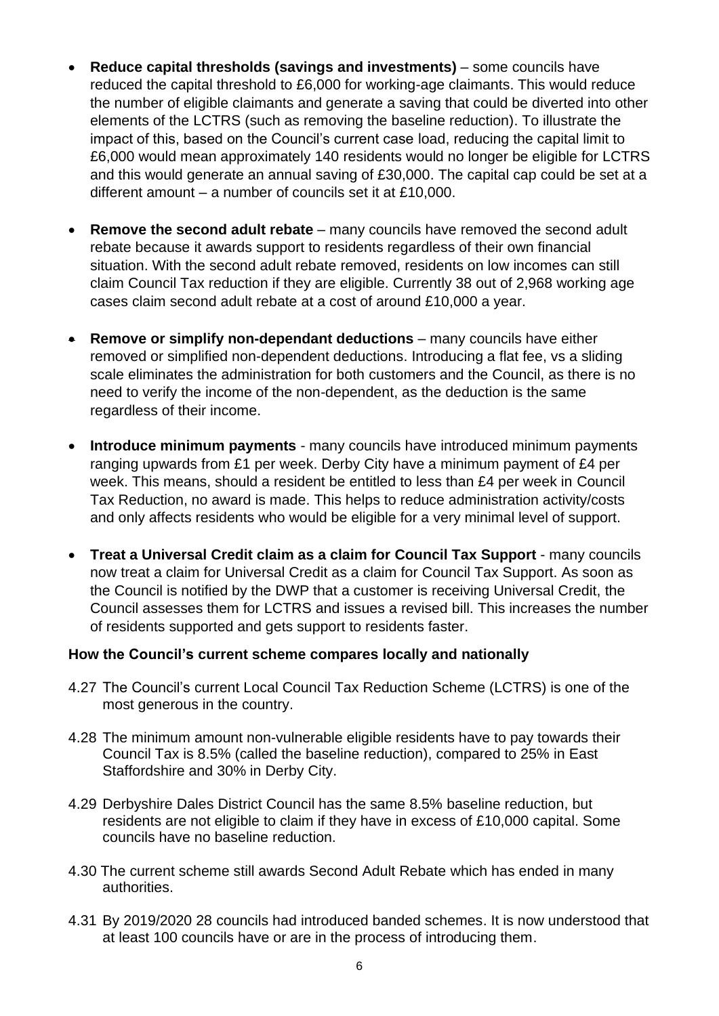- **Reduce capital thresholds (savings and investments)** some councils have reduced the capital threshold to £6,000 for working-age claimants. This would reduce the number of eligible claimants and generate a saving that could be diverted into other elements of the LCTRS (such as removing the baseline reduction). To illustrate the impact of this, based on the Council's current case load, reducing the capital limit to £6,000 would mean approximately 140 residents would no longer be eligible for LCTRS and this would generate an annual saving of £30,000. The capital cap could be set at a different amount – a number of councils set it at £10,000.
- **Remove the second adult rebate** many councils have removed the second adult rebate because it awards support to residents regardless of their own financial situation. With the second adult rebate removed, residents on low incomes can still claim Council Tax reduction if they are eligible. Currently 38 out of 2,968 working age cases claim second adult rebate at a cost of around £10,000 a year.
- **Remove or simplify non-dependant deductions** many councils have either removed or simplified non-dependent deductions. Introducing a flat fee, vs a sliding scale eliminates the administration for both customers and the Council, as there is no need to verify the income of the non-dependent, as the deduction is the same regardless of their income.
- **Introduce minimum payments** many councils have introduced minimum payments ranging upwards from £1 per week. Derby City have a minimum payment of £4 per week. This means, should a resident be entitled to less than £4 per week in Council Tax Reduction, no award is made. This helps to reduce administration activity/costs and only affects residents who would be eligible for a very minimal level of support.
- **Treat a Universal Credit claim as a claim for Council Tax Support** many councils now treat a claim for Universal Credit as a claim for Council Tax Support. As soon as the Council is notified by the DWP that a customer is receiving Universal Credit, the Council assesses them for LCTRS and issues a revised bill. This increases the number of residents supported and gets support to residents faster.

#### **How the Council's current scheme compares locally and nationally**

- 4.27 The Council's current Local Council Tax Reduction Scheme (LCTRS) is one of the most generous in the country.
- 4.28 The minimum amount non-vulnerable eligible residents have to pay towards their Council Tax is 8.5% (called the baseline reduction), compared to 25% in East Staffordshire and 30% in Derby City.
- 4.29 Derbyshire Dales District Council has the same 8.5% baseline reduction, but residents are not eligible to claim if they have in excess of £10,000 capital. Some councils have no baseline reduction.
- 4.30 The current scheme still awards Second Adult Rebate which has ended in many authorities.
- 4.31 By 2019/2020 28 councils had introduced banded schemes. It is now understood that at least 100 councils have or are in the process of introducing them.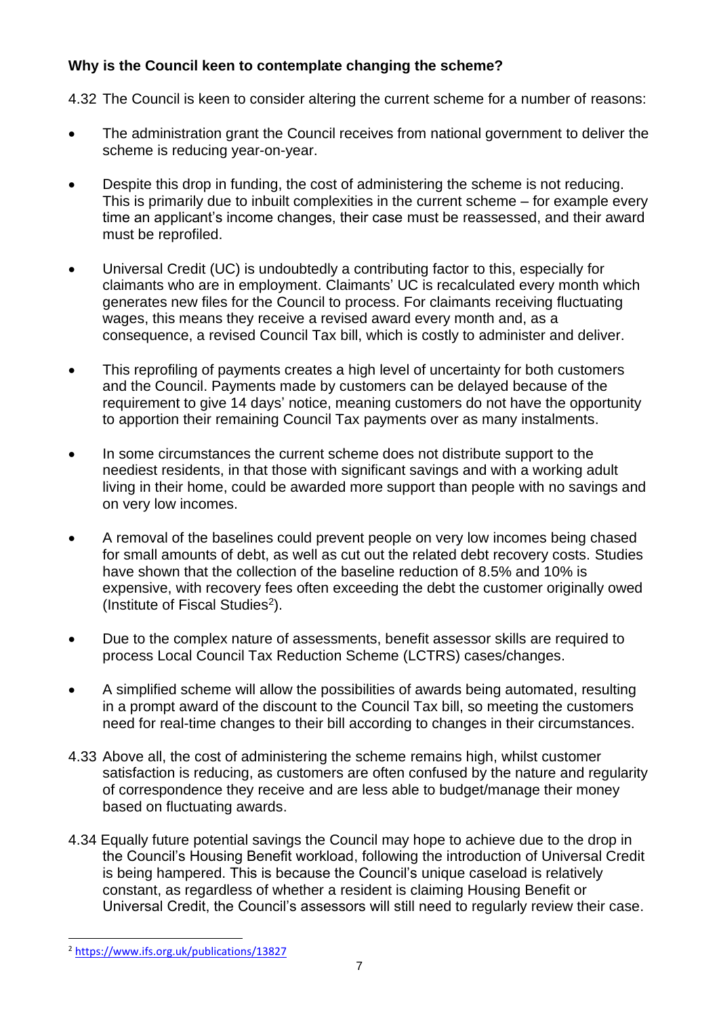# **Why is the Council keen to contemplate changing the scheme?**

4.32 The Council is keen to consider altering the current scheme for a number of reasons:

- The administration grant the Council receives from national government to deliver the scheme is reducing year-on-year.
- Despite this drop in funding, the cost of administering the scheme is not reducing. This is primarily due to inbuilt complexities in the current scheme – for example every time an applicant's income changes, their case must be reassessed, and their award must be reprofiled.
- Universal Credit (UC) is undoubtedly a contributing factor to this, especially for claimants who are in employment. Claimants' UC is recalculated every month which generates new files for the Council to process. For claimants receiving fluctuating wages, this means they receive a revised award every month and, as a consequence, a revised Council Tax bill, which is costly to administer and deliver.
- This reprofiling of payments creates a high level of uncertainty for both customers and the Council. Payments made by customers can be delayed because of the requirement to give 14 days' notice, meaning customers do not have the opportunity to apportion their remaining Council Tax payments over as many instalments.
- In some circumstances the current scheme does not distribute support to the neediest residents, in that those with significant savings and with a working adult living in their home, could be awarded more support than people with no savings and on very low incomes.
- A removal of the baselines could prevent people on very low incomes being chased for small amounts of debt, as well as cut out the related debt recovery costs. Studies have shown that the collection of the baseline reduction of 8.5% and 10% is expensive, with recovery fees often exceeding the debt the customer originally owed (Institute of Fiscal Studies<sup>2</sup>).
- Due to the complex nature of assessments, benefit assessor skills are required to process Local Council Tax Reduction Scheme (LCTRS) cases/changes.
- A simplified scheme will allow the possibilities of awards being automated, resulting in a prompt award of the discount to the Council Tax bill, so meeting the customers need for real-time changes to their bill according to changes in their circumstances.
- 4.33 Above all, the cost of administering the scheme remains high, whilst customer satisfaction is reducing, as customers are often confused by the nature and regularity of correspondence they receive and are less able to budget/manage their money based on fluctuating awards.
- 4.34 Equally future potential savings the Council may hope to achieve due to the drop in the Council's Housing Benefit workload, following the introduction of Universal Credit is being hampered. This is because the Council's unique caseload is relatively constant, as regardless of whether a resident is claiming Housing Benefit or Universal Credit, the Council's assessors will still need to regularly review their case.

<sup>2</sup> <https://www.ifs.org.uk/publications/13827>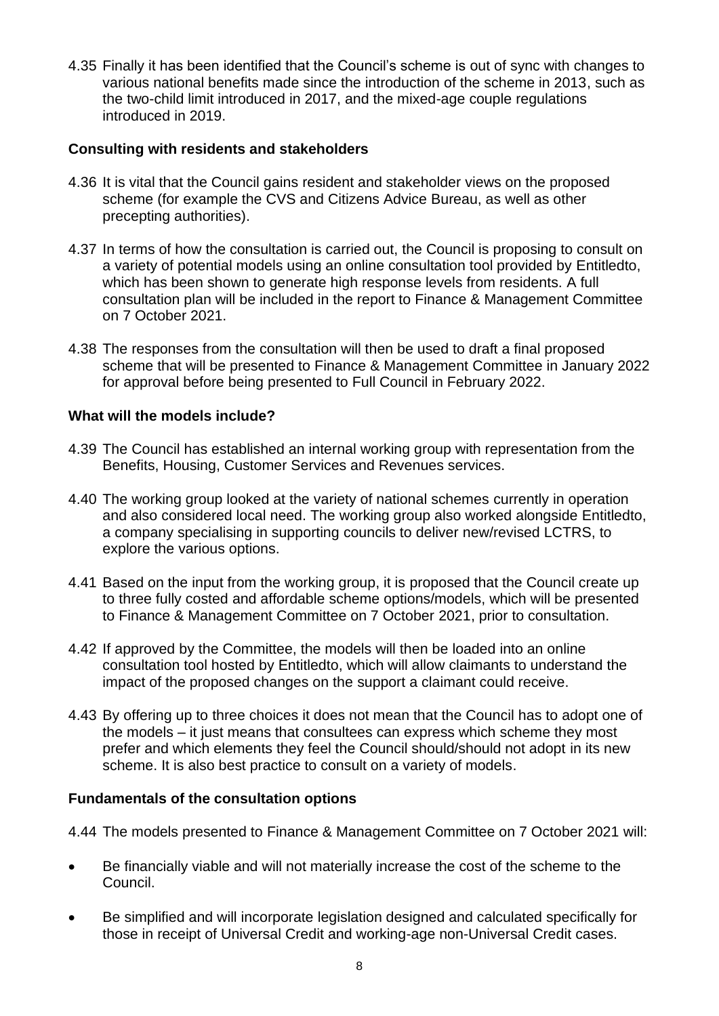4.35 Finally it has been identified that the Council's scheme is out of sync with changes to various national benefits made since the introduction of the scheme in 2013, such as the two-child limit introduced in 2017, and the mixed-age couple regulations introduced in 2019.

## **Consulting with residents and stakeholders**

- 4.36 It is vital that the Council gains resident and stakeholder views on the proposed scheme (for example the CVS and Citizens Advice Bureau, as well as other precepting authorities).
- 4.37 In terms of how the consultation is carried out, the Council is proposing to consult on a variety of potential models using an online consultation tool provided by Entitledto, which has been shown to generate high response levels from residents. A full consultation plan will be included in the report to Finance & Management Committee on 7 October 2021.
- 4.38 The responses from the consultation will then be used to draft a final proposed scheme that will be presented to Finance & Management Committee in January 2022 for approval before being presented to Full Council in February 2022.

## **What will the models include?**

- 4.39 The Council has established an internal working group with representation from the Benefits, Housing, Customer Services and Revenues services.
- 4.40 The working group looked at the variety of national schemes currently in operation and also considered local need. The working group also worked alongside Entitledto, a company specialising in supporting councils to deliver new/revised LCTRS, to explore the various options.
- 4.41 Based on the input from the working group, it is proposed that the Council create up to three fully costed and affordable scheme options/models, which will be presented to Finance & Management Committee on 7 October 2021, prior to consultation.
- 4.42 If approved by the Committee, the models will then be loaded into an online consultation tool hosted by Entitledto, which will allow claimants to understand the impact of the proposed changes on the support a claimant could receive.
- 4.43 By offering up to three choices it does not mean that the Council has to adopt one of the models – it just means that consultees can express which scheme they most prefer and which elements they feel the Council should/should not adopt in its new scheme. It is also best practice to consult on a variety of models.

#### **Fundamentals of the consultation options**

- 4.44 The models presented to Finance & Management Committee on 7 October 2021 will:
- Be financially viable and will not materially increase the cost of the scheme to the Council.
- Be simplified and will incorporate legislation designed and calculated specifically for those in receipt of Universal Credit and working-age non-Universal Credit cases.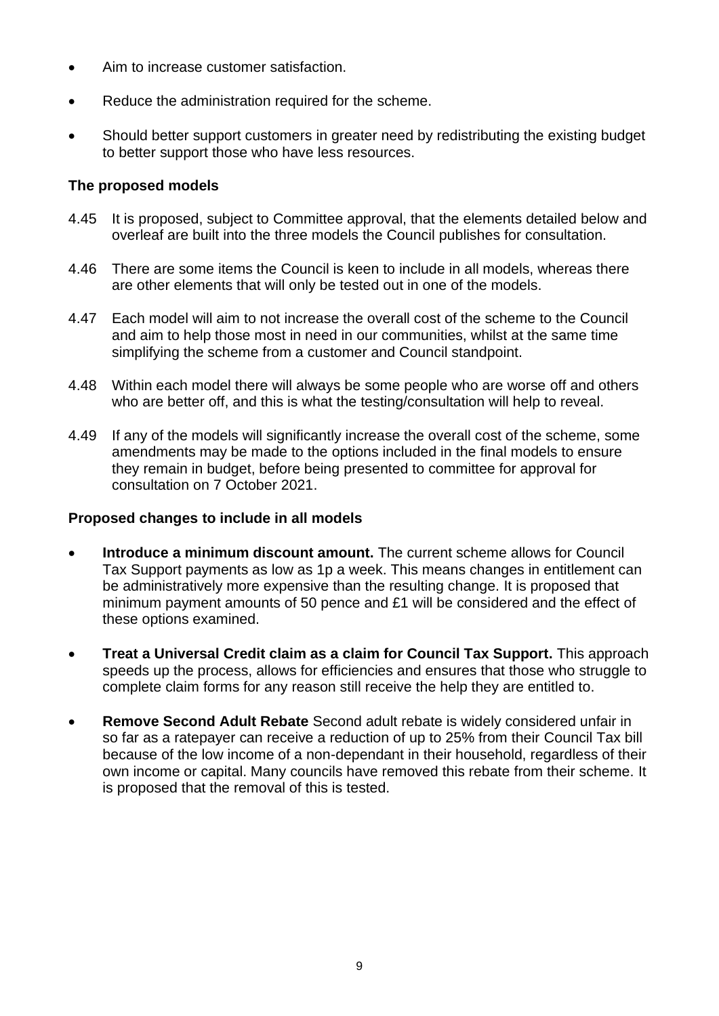- Aim to increase customer satisfaction.
- Reduce the administration required for the scheme.
- Should better support customers in greater need by redistributing the existing budget to better support those who have less resources.

## **The proposed models**

- 4.45 It is proposed, subject to Committee approval, that the elements detailed below and overleaf are built into the three models the Council publishes for consultation.
- 4.46 There are some items the Council is keen to include in all models, whereas there are other elements that will only be tested out in one of the models.
- 4.47 Each model will aim to not increase the overall cost of the scheme to the Council and aim to help those most in need in our communities, whilst at the same time simplifying the scheme from a customer and Council standpoint.
- 4.48 Within each model there will always be some people who are worse off and others who are better off, and this is what the testing/consultation will help to reveal.
- 4.49 If any of the models will significantly increase the overall cost of the scheme, some amendments may be made to the options included in the final models to ensure they remain in budget, before being presented to committee for approval for consultation on 7 October 2021.

#### **Proposed changes to include in all models**

- **Introduce a minimum discount amount.** The current scheme allows for Council Tax Support payments as low as 1p a week. This means changes in entitlement can be administratively more expensive than the resulting change. It is proposed that minimum payment amounts of 50 pence and £1 will be considered and the effect of these options examined.
- **Treat a Universal Credit claim as a claim for Council Tax Support.** This approach speeds up the process, allows for efficiencies and ensures that those who struggle to complete claim forms for any reason still receive the help they are entitled to.
- **Remove Second Adult Rebate** Second adult rebate is widely considered unfair in so far as a ratepayer can receive a reduction of up to 25% from their Council Tax bill because of the low income of a non-dependant in their household, regardless of their own income or capital. Many councils have removed this rebate from their scheme. It is proposed that the removal of this is tested.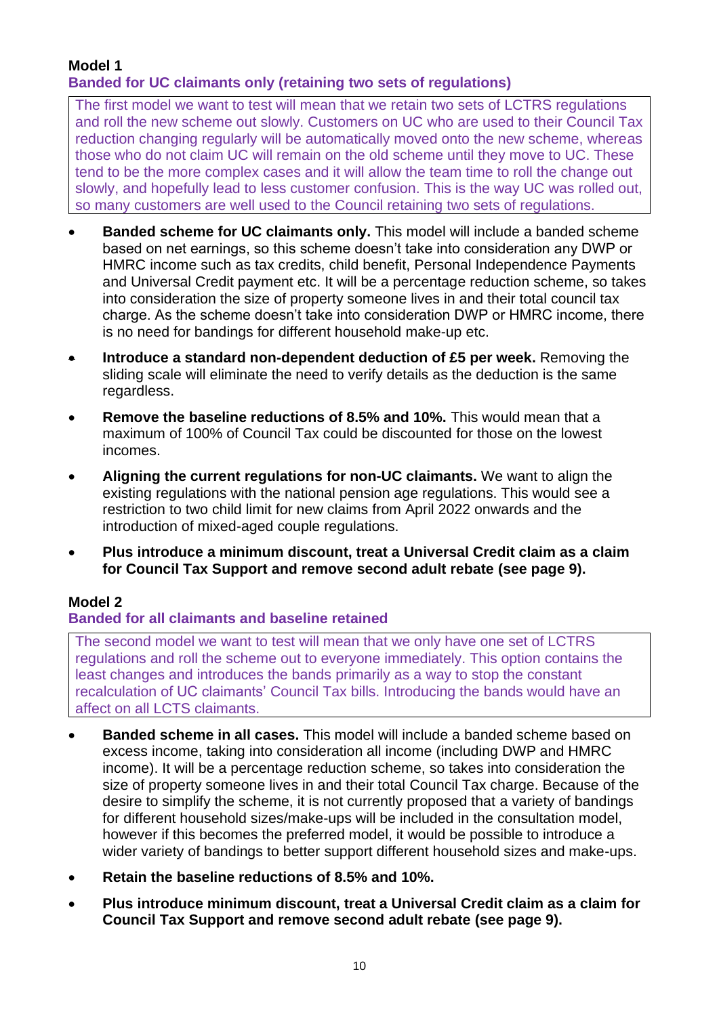# **Model 1 Banded for UC claimants only (retaining two sets of regulations)**

The first model we want to test will mean that we retain two sets of LCTRS regulations and roll the new scheme out slowly. Customers on UC who are used to their Council Tax reduction changing regularly will be automatically moved onto the new scheme, whereas those who do not claim UC will remain on the old scheme until they move to UC. These tend to be the more complex cases and it will allow the team time to roll the change out slowly, and hopefully lead to less customer confusion. This is the way UC was rolled out, so many customers are well used to the Council retaining two sets of regulations.

- **Banded scheme for UC claimants only.** This model will include a banded scheme based on net earnings, so this scheme doesn't take into consideration any DWP or HMRC income such as tax credits, child benefit, Personal Independence Payments and Universal Credit payment etc. It will be a percentage reduction scheme, so takes into consideration the size of property someone lives in and their total council tax charge. As the scheme doesn't take into consideration DWP or HMRC income, there is no need for bandings for different household make-up etc.
- **Introduce a standard non-dependent deduction of £5 per week.** Removing the sliding scale will eliminate the need to verify details as the deduction is the same regardless.
- **Remove the baseline reductions of 8.5% and 10%.** This would mean that a maximum of 100% of Council Tax could be discounted for those on the lowest incomes.
- **Aligning the current regulations for non-UC claimants.** We want to align the existing regulations with the national pension age regulations. This would see a restriction to two child limit for new claims from April 2022 onwards and the introduction of mixed-aged couple regulations.
- **Plus introduce a minimum discount, treat a Universal Credit claim as a claim for Council Tax Support and remove second adult rebate (see page 9).**

# **Model 2**

# **Banded for all claimants and baseline retained**

The second model we want to test will mean that we only have one set of LCTRS regulations and roll the scheme out to everyone immediately. This option contains the least changes and introduces the bands primarily as a way to stop the constant recalculation of UC claimants' Council Tax bills. Introducing the bands would have an affect on all LCTS claimants.

- **Banded scheme in all cases.** This model will include a banded scheme based on excess income, taking into consideration all income (including DWP and HMRC income). It will be a percentage reduction scheme, so takes into consideration the size of property someone lives in and their total Council Tax charge. Because of the desire to simplify the scheme, it is not currently proposed that a variety of bandings for different household sizes/make-ups will be included in the consultation model, however if this becomes the preferred model, it would be possible to introduce a wider variety of bandings to better support different household sizes and make-ups.
- **Retain the baseline reductions of 8.5% and 10%.**
- **Plus introduce minimum discount, treat a Universal Credit claim as a claim for Council Tax Support and remove second adult rebate (see page 9).**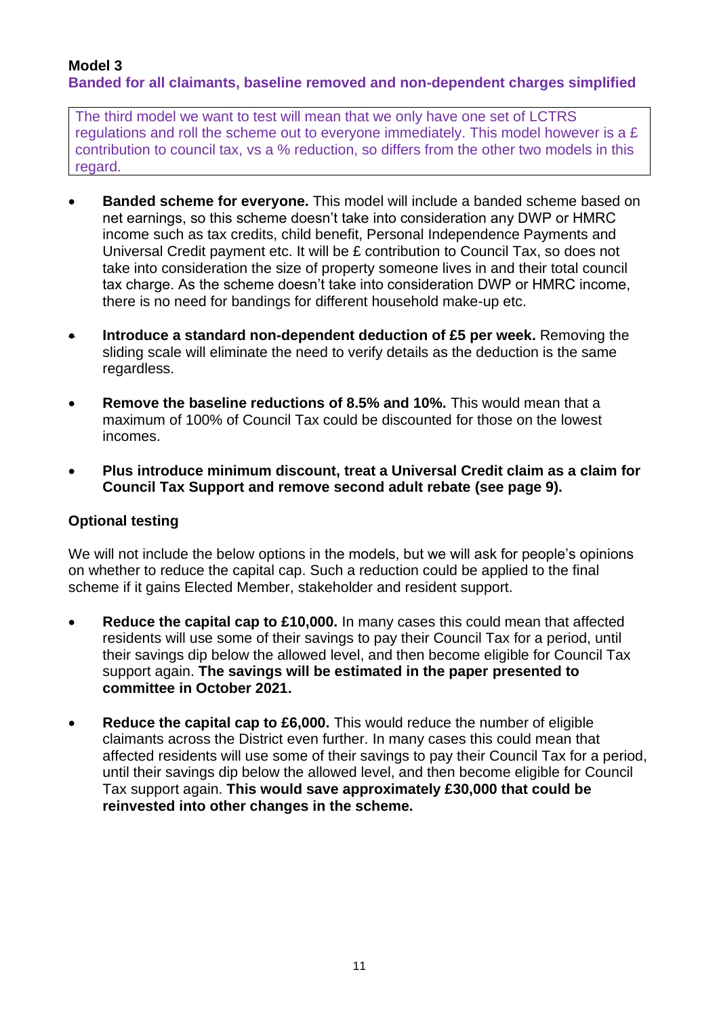## **Model 3 Banded for all claimants, baseline removed and non-dependent charges simplified**

The third model we want to test will mean that we only have one set of LCTRS regulations and roll the scheme out to everyone immediately. This model however is a £ contribution to council tax, vs a % reduction, so differs from the other two models in this regard.

- **Banded scheme for everyone.** This model will include a banded scheme based on net earnings, so this scheme doesn't take into consideration any DWP or HMRC income such as tax credits, child benefit, Personal Independence Payments and Universal Credit payment etc. It will be £ contribution to Council Tax, so does not take into consideration the size of property someone lives in and their total council tax charge. As the scheme doesn't take into consideration DWP or HMRC income, there is no need for bandings for different household make-up etc.
- **Introduce a standard non-dependent deduction of £5 per week.** Removing the sliding scale will eliminate the need to verify details as the deduction is the same regardless.
- **Remove the baseline reductions of 8.5% and 10%.** This would mean that a maximum of 100% of Council Tax could be discounted for those on the lowest incomes.
- **Plus introduce minimum discount, treat a Universal Credit claim as a claim for Council Tax Support and remove second adult rebate (see page 9).**

# **Optional testing**

We will not include the below options in the models, but we will ask for people's opinions on whether to reduce the capital cap. Such a reduction could be applied to the final scheme if it gains Elected Member, stakeholder and resident support.

- **Reduce the capital cap to £10,000.** In many cases this could mean that affected residents will use some of their savings to pay their Council Tax for a period, until their savings dip below the allowed level, and then become eligible for Council Tax support again. **The savings will be estimated in the paper presented to committee in October 2021.**
- **Reduce the capital cap to £6,000.** This would reduce the number of eligible claimants across the District even further. In many cases this could mean that affected residents will use some of their savings to pay their Council Tax for a period, until their savings dip below the allowed level, and then become eligible for Council Tax support again. **This would save approximately £30,000 that could be reinvested into other changes in the scheme.**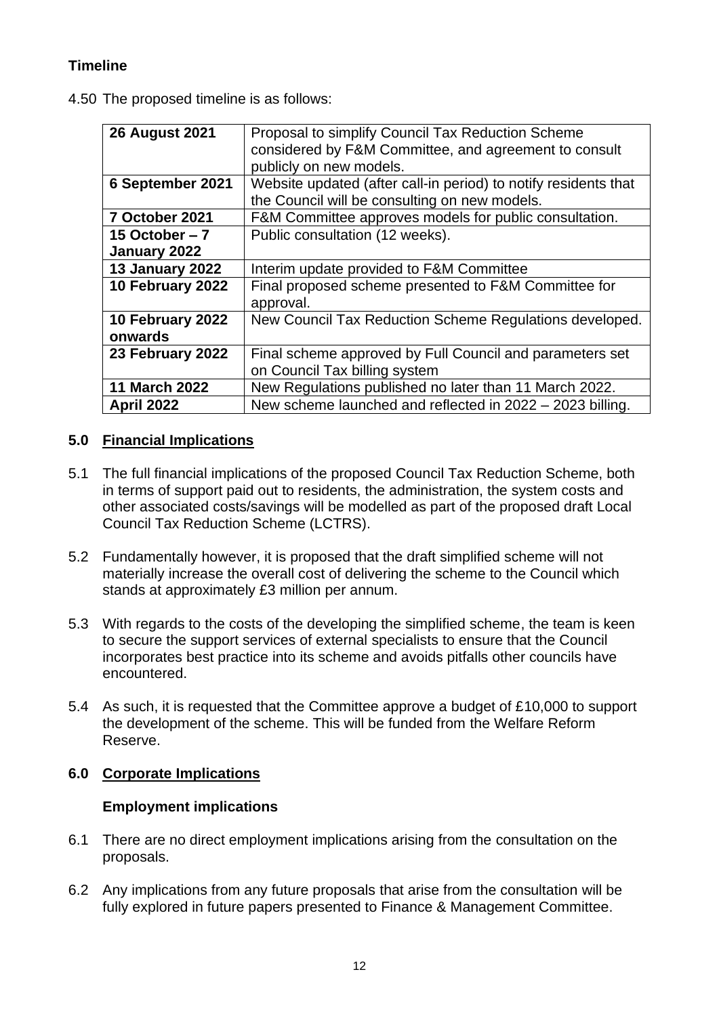# **Timeline**

4.50 The proposed timeline is as follows:

| <b>26 August 2021</b>           | Proposal to simplify Council Tax Reduction Scheme<br>considered by F&M Committee, and agreement to consult<br>publicly on new models. |  |
|---------------------------------|---------------------------------------------------------------------------------------------------------------------------------------|--|
| 6 September 2021                | Website updated (after call-in period) to notify residents that<br>the Council will be consulting on new models.                      |  |
| 7 October 2021                  | F&M Committee approves models for public consultation.                                                                                |  |
| 15 October $-7$<br>January 2022 | Public consultation (12 weeks).                                                                                                       |  |
| 13 January 2022                 | Interim update provided to F&M Committee                                                                                              |  |
| 10 February 2022                | Final proposed scheme presented to F&M Committee for<br>approval.                                                                     |  |
| 10 February 2022<br>onwards     | New Council Tax Reduction Scheme Regulations developed.                                                                               |  |
| 23 February 2022                | Final scheme approved by Full Council and parameters set<br>on Council Tax billing system                                             |  |
| <b>11 March 2022</b>            | New Regulations published no later than 11 March 2022.                                                                                |  |
| <b>April 2022</b>               | New scheme launched and reflected in 2022 - 2023 billing.                                                                             |  |

# **5.0 Financial Implications**

- 5.1 The full financial implications of the proposed Council Tax Reduction Scheme, both in terms of support paid out to residents, the administration, the system costs and other associated costs/savings will be modelled as part of the proposed draft Local Council Tax Reduction Scheme (LCTRS).
- 5.2 Fundamentally however, it is proposed that the draft simplified scheme will not materially increase the overall cost of delivering the scheme to the Council which stands at approximately £3 million per annum.
- 5.3 With regards to the costs of the developing the simplified scheme, the team is keen to secure the support services of external specialists to ensure that the Council incorporates best practice into its scheme and avoids pitfalls other councils have encountered.
- 5.4 As such, it is requested that the Committee approve a budget of £10,000 to support the development of the scheme. This will be funded from the Welfare Reform Reserve.

# **6.0 Corporate Implications**

#### **Employment implications**

- 6.1 There are no direct employment implications arising from the consultation on the proposals.
- 6.2 Any implications from any future proposals that arise from the consultation will be fully explored in future papers presented to Finance & Management Committee.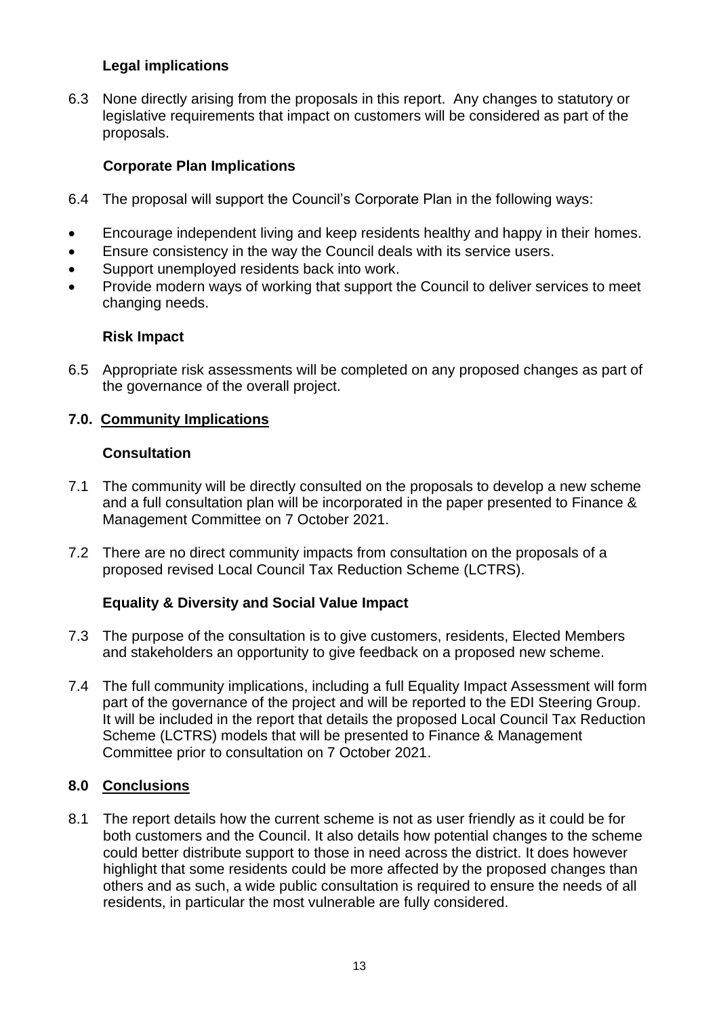# **Legal implications**

6.3 None directly arising from the proposals in this report. Any changes to statutory or legislative requirements that impact on customers will be considered as part of the proposals.

## **Corporate Plan Implications**

- 6.4 The proposal will support the Council's Corporate Plan in the following ways:
- Encourage independent living and keep residents healthy and happy in their homes.
- Ensure consistency in the way the Council deals with its service users.
- Support unemployed residents back into work.
- Provide modern ways of working that support the Council to deliver services to meet changing needs.

#### **Risk Impact**

6.5 Appropriate risk assessments will be completed on any proposed changes as part of the governance of the overall project.

## **7.0. Community Implications**

#### **Consultation**

- 7.1 The community will be directly consulted on the proposals to develop a new scheme and a full consultation plan will be incorporated in the paper presented to Finance & Management Committee on 7 October 2021.
- 7.2 There are no direct community impacts from consultation on the proposals of a proposed revised Local Council Tax Reduction Scheme (LCTRS).

# **Equality & Diversity and Social Value Impact**

- 7.3 The purpose of the consultation is to give customers, residents, Elected Members and stakeholders an opportunity to give feedback on a proposed new scheme.
- 7.4 The full community implications, including a full Equality Impact Assessment will form part of the governance of the project and will be reported to the EDI Steering Group. It will be included in the report that details the proposed Local Council Tax Reduction Scheme (LCTRS) models that will be presented to Finance & Management Committee prior to consultation on 7 October 2021.

# **8.0 Conclusions**

8.1 The report details how the current scheme is not as user friendly as it could be for both customers and the Council. It also details how potential changes to the scheme could better distribute support to those in need across the district. It does however highlight that some residents could be more affected by the proposed changes than others and as such, a wide public consultation is required to ensure the needs of all residents, in particular the most vulnerable are fully considered.